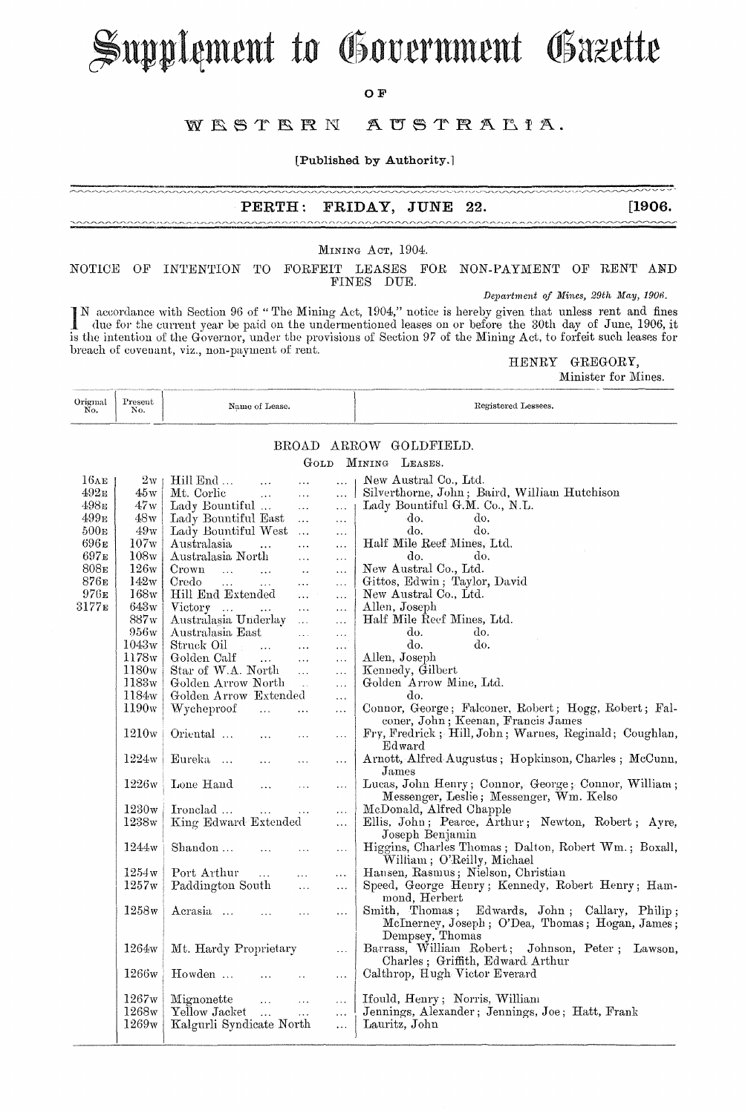# Supplement to Government Gazette

 $O$   $\bf{F}$ 

#### WESTERN AUSTRALIA.

[Published by Authority.]

~~~~~~~~~~~~~

#### **PERTH:** FRIDAY, JUNE 22.

MINING ACT, 1904.

NOTICE OF INTENTION TO FORFEIT LEASES FOR NON-PAYMENT OF RENT AND FINES DUE.

Department of Mines, 29th May, 1906.

IN accordance with Section 96 of "The Mining Act, 1904," notice is hereby given that unless rent and fines due for the current year be paid on the undermentioned leases on or before the 30th day of June, 1906, it is the intention of the Governor, under the provisions of Section 97 of the Mining Act, to forfeit such leases for breach of covenant, viz., non-payment of rent.

HENRY GREGORY,

Minister for Mines.

 $[1906.$ 

| Original<br>No. | Present<br><b>W.M.</b><br>NO. | Name of Lease. | Registered Lessees. |
|-----------------|-------------------------------|----------------|---------------------|
| --------        |                               |                |                     |

### BROAD ARROW GOLDFIELD.

GOLD MINING LEASES.

| 16AE              | 2 <sub>W</sub>    | Hill End<br>$\ddotsc$                                                     | $\cdots$<br>$\cdots$                   | New Austral Co., Ltd.                                  |
|-------------------|-------------------|---------------------------------------------------------------------------|----------------------------------------|--------------------------------------------------------|
| 492 <sub>E</sub>  | 45w               | Mt. Corlic<br>$\mathbf{r}$                                                | $\ddotsc$<br>$\cdots$                  | Silverthorne, John; Baird, William Hutchison           |
| 498 в             | 47w               | Lady Bountiful                                                            | $\ddotsc$<br>$\cdots$                  | Lady Bountiful G.M. Co., N.L.                          |
| 499 <sub>E</sub>  | 48w               | Lady Bountiful East<br>$\sim$                                             | $\ldots$                               | do.<br>do.                                             |
| 500 <sub>E</sub>  | 49w               | Lady Bountiful West                                                       | $\mathcal{L}_{\mathbf{r}}$<br>$\cdots$ | do.<br>do.                                             |
| 696 <sub>E</sub>  | 107w              | Australasia<br>$\cdots$                                                   | $\ddotsc$<br>$\ldots$                  | Half Mile Reef Mines, Ltd.                             |
| $697\mathrm{e}$   | 108w              | Australasia North                                                         | $\ddotsc$<br>$\ldots$                  | do.<br>do.                                             |
| 808 <sub>E</sub>  | 126w              | Crown<br><b>Carl Corp.</b><br>$\ddotsc$                                   | $\ddotsc$<br>$\cdots$                  | New Austral Co., Ltd.                                  |
| $876\mathrm{e}$   | 142w              | Credo<br>$\mathbf{1}$<br>$\mathbf{1}$                                     | $\overline{\mathcal{L}}$ .<br>$\cdots$ | Gittos, Edwin; Taylor, David                           |
| $976E$            | 168w              | Hill End Extended                                                         | $\ddotsc$<br>$\ddotsc$                 | New Austral Co., Ltd.                                  |
| 3177 <sub>E</sub> | $643\rm{w}$       | Victory<br>$\mathcal{L}_{\text{max}}$ , and $\mathcal{L}_{\text{max}}$    | $\ddotsc$<br>$\ddotsc$                 | Allen, Joseph                                          |
|                   | 887w              | Australasia Underlay<br>$\sim$                                            | .                                      | Half Mile Reef Mines, Ltd.                             |
|                   | 956w              | Australasia East                                                          | $\ddotsc$<br>$\ldots$                  | do.<br>do.                                             |
|                   | 1043w             | Struck Oil<br>$\mathcal{L}^{\text{max}}$ , and $\mathcal{L}^{\text{max}}$ | $\ddotsc$<br>$\cdots$                  | do.<br>do.                                             |
|                   | 1178w             | Golden Calf<br>$\mathbf{1.1}$                                             | $\ddotsc$<br>$\cdots$                  | Allen, Joseph                                          |
|                   | 1180w             | Star of W.A. North                                                        | $\dddotsc$<br>$\ddotsc$                | Kennedy, Gilbert                                       |
|                   | 1183w             | Golden Arrow North<br>$\sim 100$                                          | .                                      | Golden Arrow Mine, Ltd.                                |
|                   | 1184w             | Golden Arrow Extended                                                     | $\ddotsc$                              | do.                                                    |
|                   | 1190 <sub>w</sub> | Wycheproof<br>$\mathbf{r}$                                                | $\ddotsc$<br>$\ldots$                  | Connor, George; Falconer, Robert; Hogg, Robert; Fal-   |
|                   |                   |                                                                           |                                        | coner, John; Keenan, Francis James                     |
|                   | 1210w             | Oriental<br>$\ddotsc$                                                     | $\cdots$<br>$\ldots$                   | Fry, Fredrick; Hill, John; Warnes, Reginald; Coughlan, |
|                   |                   |                                                                           |                                        | Edward                                                 |
|                   | 1224w             | Eureka<br>$\ddotsc$                                                       | $\ddotsc$<br>$\cdots$                  | Arnott, Alfred Augustus; Hopkinson, Charles; McCunn,   |
|                   |                   |                                                                           |                                        | James                                                  |
|                   | 1226w             | Lone Hand<br>$\ddotsc$                                                    | $\cdots$<br>.                          | Lucas, John Henry; Connor, George; Connor, William;    |
|                   |                   |                                                                           |                                        | Messenger, Leslie; Messenger, Wm. Kelso                |
|                   | $1230\mathrm{w}$  | Ironclad                                                                  | $\ldots$<br>$\ldots$                   | McDonald, Alfred Chapple                               |
|                   | 1238w             | King Edward Extended                                                      | $\ddotsc$                              | Ellis, John; Pearce, Arthur; Newton, Robert; Ayre,     |
|                   |                   |                                                                           |                                        | Joseph Benjamin                                        |
|                   | 1244w             | Shandon<br>$\ddotsc$                                                      | $\ldots$                               | Higgins, Charles Thomas; Dalton, Robert Wm.; Boxall,   |
|                   |                   |                                                                           | $\ldots$                               | William; O'Reilly, Michael                             |
|                   | 1254w             | Port Arthur<br>$\mathbf{r}$                                               | $\ddotsc$<br>.                         | Hausen, Rasmus; Nielson, Christian                     |
|                   | 1257w             | Paddington South                                                          | $\mathbf{A}$                           | Speed, George Henry; Kennedy, Robert Henry; Ham-       |
|                   |                   |                                                                           | $\ddotsc$                              | mond, Herbert                                          |
|                   | 1258w             | Acrasia<br>$\ldots$                                                       |                                        | Smith, Thomas; Edwards, John; Callary, Philip;         |
|                   |                   |                                                                           | $\ddotsc$<br>.                         | McInerney, Joseph; O'Dea, Thomas; Hogan, James;        |
|                   |                   |                                                                           |                                        | Dempsey, Thomas                                        |
|                   | 1264w             | Mt. Hardy Proprietary                                                     |                                        | Barrass, William Robert; Johnson, Peter; Lawson,       |
|                   |                   |                                                                           | $\ddotsc$                              | Charles; Griffith, Edward Arthur                       |
|                   | 1266w             | Howden                                                                    |                                        | Calthrop, Hugh Victor Everard                          |
|                   |                   |                                                                           | .                                      |                                                        |
|                   | $1267\mathrm{w}$  | Mignonette<br>$\ldots$                                                    | $\ddotsc$                              | Ifould, Henry; Norris, William                         |
|                   | 1268w             | Yellow Jacket<br>$\ddotsc$                                                | $\ddotsc$<br>$\ddotsc$<br>$\ddotsc$    | Jennings, Alexander; Jennings, Joe; Hatt, Frank        |
|                   | 1269w             | Kalgurli Syndicate North                                                  | $\ddotsc$                              | Lauritz, John                                          |
|                   |                   |                                                                           |                                        |                                                        |